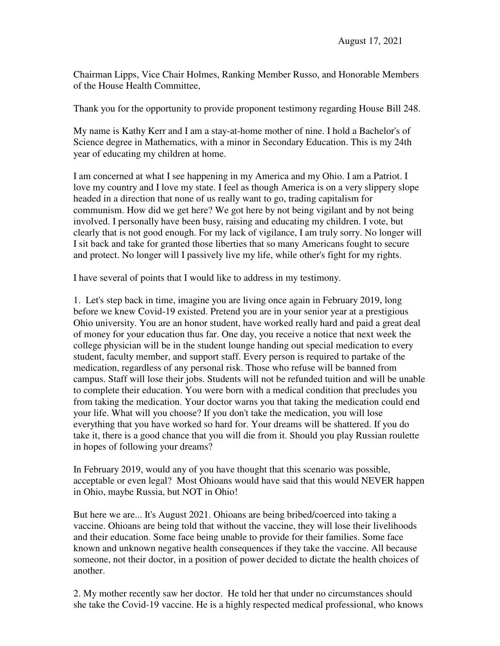Chairman Lipps, Vice Chair Holmes, Ranking Member Russo, and Honorable Members of the House Health Committee,

Thank you for the opportunity to provide proponent testimony regarding House Bill 248.

My name is Kathy Kerr and I am a stay-at-home mother of nine. I hold a Bachelor's of Science degree in Mathematics, with a minor in Secondary Education. This is my 24th year of educating my children at home.

I am concerned at what I see happening in my America and my Ohio. I am a Patriot. I love my country and I love my state. I feel as though America is on a very slippery slope headed in a direction that none of us really want to go, trading capitalism for communism. How did we get here? We got here by not being vigilant and by not being involved. I personally have been busy, raising and educating my children. I vote, but clearly that is not good enough. For my lack of vigilance, I am truly sorry. No longer will I sit back and take for granted those liberties that so many Americans fought to secure and protect. No longer will I passively live my life, while other's fight for my rights.

I have several of points that I would like to address in my testimony.

1. Let's step back in time, imagine you are living once again in February 2019, long before we knew Covid-19 existed. Pretend you are in your senior year at a prestigious Ohio university. You are an honor student, have worked really hard and paid a great deal of money for your education thus far. One day, you receive a notice that next week the college physician will be in the student lounge handing out special medication to every student, faculty member, and support staff. Every person is required to partake of the medication, regardless of any personal risk. Those who refuse will be banned from campus. Staff will lose their jobs. Students will not be refunded tuition and will be unable to complete their education. You were born with a medical condition that precludes you from taking the medication. Your doctor warns you that taking the medication could end your life. What will you choose? If you don't take the medication, you will lose everything that you have worked so hard for. Your dreams will be shattered. If you do take it, there is a good chance that you will die from it. Should you play Russian roulette in hopes of following your dreams?

In February 2019, would any of you have thought that this scenario was possible, acceptable or even legal? Most Ohioans would have said that this would NEVER happen in Ohio, maybe Russia, but NOT in Ohio!

But here we are... It's August 2021. Ohioans are being bribed/coerced into taking a vaccine. Ohioans are being told that without the vaccine, they will lose their livelihoods and their education. Some face being unable to provide for their families. Some face known and unknown negative health consequences if they take the vaccine. All because someone, not their doctor, in a position of power decided to dictate the health choices of another.

2. My mother recently saw her doctor. He told her that under no circumstances should she take the Covid-19 vaccine. He is a highly respected medical professional, who knows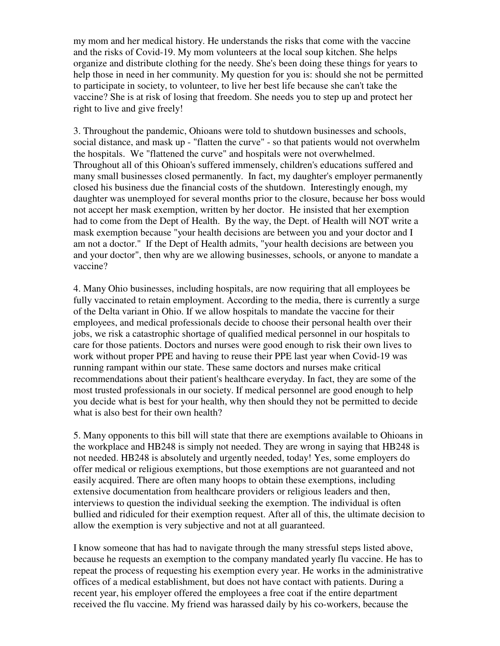my mom and her medical history. He understands the risks that come with the vaccine and the risks of Covid-19. My mom volunteers at the local soup kitchen. She helps organize and distribute clothing for the needy. She's been doing these things for years to help those in need in her community. My question for you is: should she not be permitted to participate in society, to volunteer, to live her best life because she can't take the vaccine? She is at risk of losing that freedom. She needs you to step up and protect her right to live and give freely!

3. Throughout the pandemic, Ohioans were told to shutdown businesses and schools, social distance, and mask up - "flatten the curve" - so that patients would not overwhelm the hospitals. We "flattened the curve" and hospitals were not overwhelmed. Throughout all of this Ohioan's suffered immensely, children's educations suffered and many small businesses closed permanently. In fact, my daughter's employer permanently closed his business due the financial costs of the shutdown. Interestingly enough, my daughter was unemployed for several months prior to the closure, because her boss would not accept her mask exemption, written by her doctor. He insisted that her exemption had to come from the Dept of Health. By the way, the Dept. of Health will NOT write a mask exemption because "your health decisions are between you and your doctor and I am not a doctor." If the Dept of Health admits, "your health decisions are between you and your doctor", then why are we allowing businesses, schools, or anyone to mandate a vaccine?

4. Many Ohio businesses, including hospitals, are now requiring that all employees be fully vaccinated to retain employment. According to the media, there is currently a surge of the Delta variant in Ohio. If we allow hospitals to mandate the vaccine for their employees, and medical professionals decide to choose their personal health over their jobs, we risk a catastrophic shortage of qualified medical personnel in our hospitals to care for those patients. Doctors and nurses were good enough to risk their own lives to work without proper PPE and having to reuse their PPE last year when Covid-19 was running rampant within our state. These same doctors and nurses make critical recommendations about their patient's healthcare everyday. In fact, they are some of the most trusted professionals in our society. If medical personnel are good enough to help you decide what is best for your health, why then should they not be permitted to decide what is also best for their own health?

5. Many opponents to this bill will state that there are exemptions available to Ohioans in the workplace and HB248 is simply not needed. They are wrong in saying that HB248 is not needed. HB248 is absolutely and urgently needed, today! Yes, some employers do offer medical or religious exemptions, but those exemptions are not guaranteed and not easily acquired. There are often many hoops to obtain these exemptions, including extensive documentation from healthcare providers or religious leaders and then, interviews to question the individual seeking the exemption. The individual is often bullied and ridiculed for their exemption request. After all of this, the ultimate decision to allow the exemption is very subjective and not at all guaranteed.

I know someone that has had to navigate through the many stressful steps listed above, because he requests an exemption to the company mandated yearly flu vaccine. He has to repeat the process of requesting his exemption every year. He works in the administrative offices of a medical establishment, but does not have contact with patients. During a recent year, his employer offered the employees a free coat if the entire department received the flu vaccine. My friend was harassed daily by his co-workers, because the